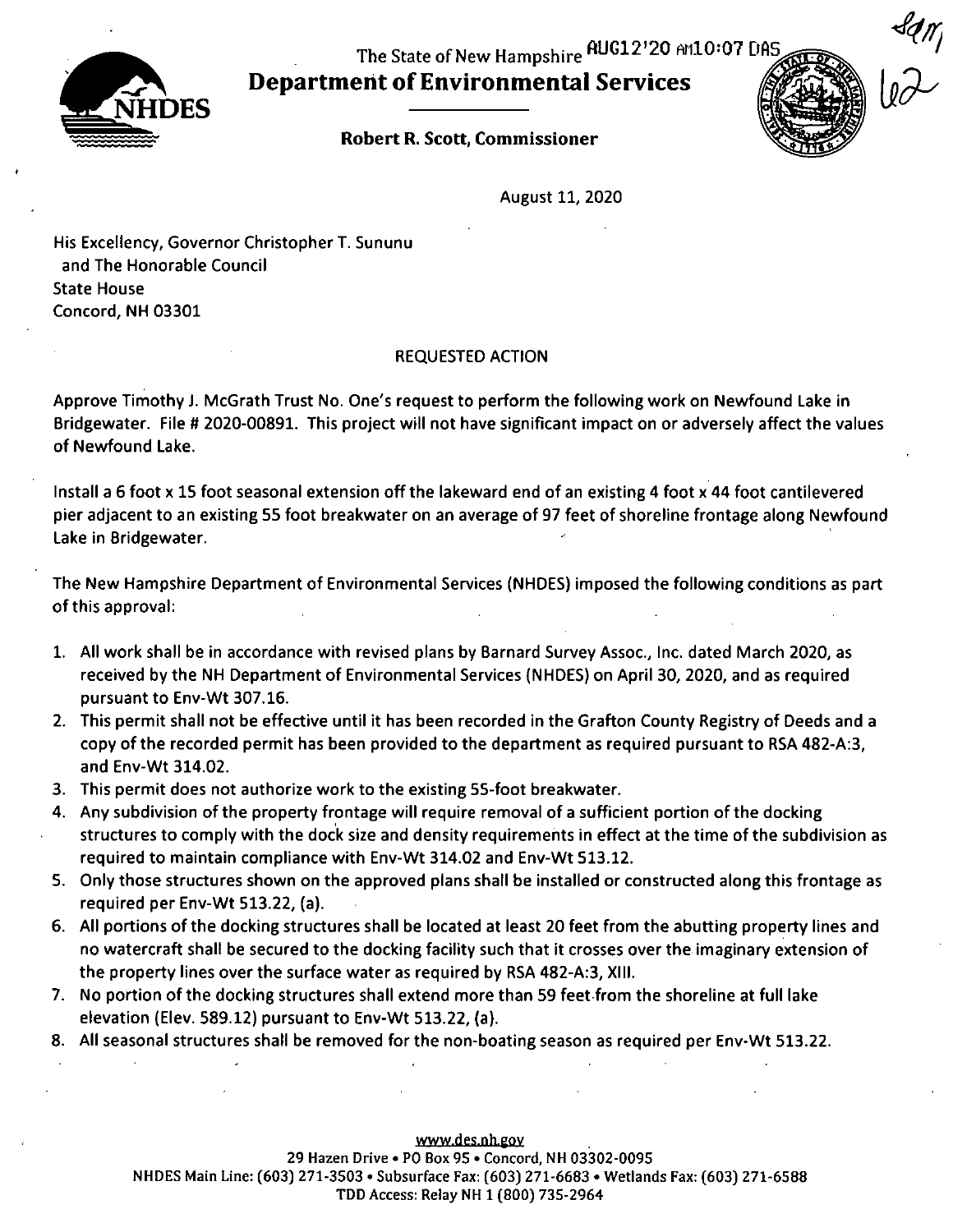The State of New Hampshire AUG12'20 Ari10:07 DAS

Departmeritof Environmental Services







 $\mathbf{r}$ 

August 11; 2020

His Excellency, Governor Christopher T. Sununu and The Honorable Council State House Concord; NH 03301

### REQUESTED ACTION

Approve Timothy J. McGrath Trust No. One's request to perform the following work on Newfound Lake in Bridgewater. File # 2020-00891. This project will not have significant impact on or adversely affect the values of Newfound Lake.

Install a 6 foot x 15 foot seasonal extension off the lakeward end of an existing 4 foot x 44 foot cantilevered pier adjacent to an existing 55 foot breakwater on an average of 97 feet of shoreline frontage along Newfound Lake in Bridgewater.

The New Hampshire Department of Environmental Services (NHDES) imposed the following conditions as part of this approval:

- 1. All work shall be in accordance with revised plans by Barnard Survey Assoc.; Inc. dated March 2020, as received by the NH Department of Environmental Services (NHDES) on April 30; 2020, and as required pursuant to Env-Wt 307.16.
- 2. This permit shall not be effective until it has been recorded in the Grafton County Registry of Deeds and a copy of the recorded permit has been provided to the department as required pursuant to RSA 482-A:3; and Env-Wt 314.02.
- 3. This permit does not authorize work to the existing 55-foot breakwater.
- 4. Any subdivision of the property frontage will require removal of a sufficient portion of the docking structures to comply with the dock size and density requirements in effect at the time of the subdivision as required to maintain compliance with Env-Wt 314.02 and Env-Wt 513.12.
- 5. Only those structures shown on the approved plans shall be Installed or constructed along this frontage as required per Env-Wt 513.22, (a).
- 6. All portions of the docking structures shall be located at least 20 feet from the abutting property lines and no watercraft shall be secured to the docking facility such that it crosses over the imaginary extension of the property lines over the surface water as required by RSA 482-A:3, XIII.
- 7. No portion of the docking structures shall extend more than 59 feet from the shoreline at full lake elevation (Elev. 589.12) pursuant to Env-Wt 513.22, (a).
- 8. All seasonal structures shall be removed for the non-boating season as required per Env-Wt 513.22.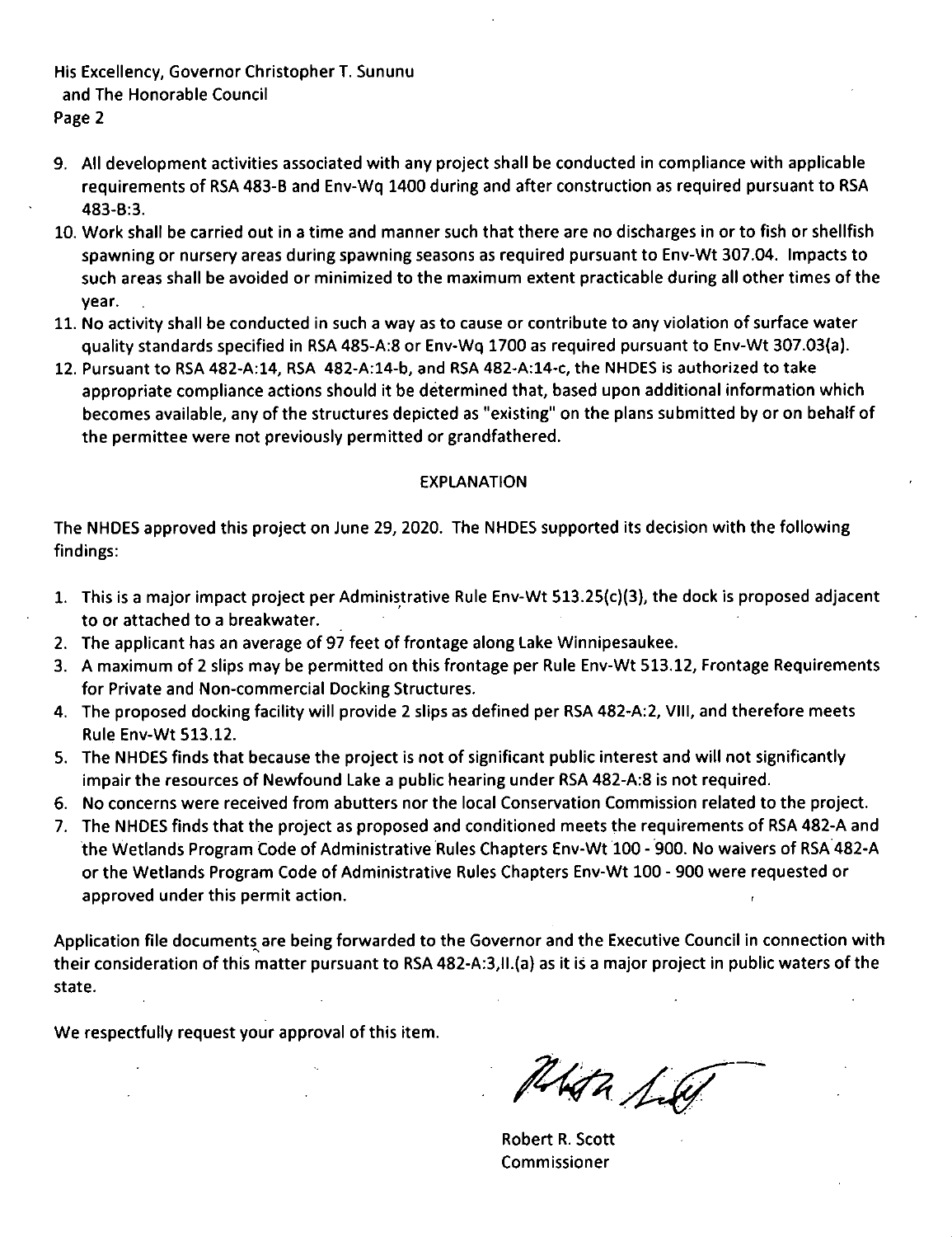His Excellency, Governor Christopher T. Sununu and The Honorable Council Page 2

- 9. All development activities associated with any project shall be conducted in compliance with applicable requirements of RSA 483-B and Env-Wq 1400 during and after construction as required pursuant to RSA 483-8:3.
- 10. Work shall be carried out in a time and manner such that there are no discharges in or to fish or shellfish spawning or nursery areas during spawning seasons as required pursuant to Env-Wt 307.04. Impacts to such areas shall be avoided or minimized to the maximum extent practicable during all other times of the year.
- 11. No activity shall be conducted in such a way as to cause or contribute to any violation of surface water quality standards specified in RSA 485-A:8 or Env-Wq 1700 as required pursuant to Env-Wt 307.03(a).
- 12. Pursuant to RSA 482-A:14, RSA 482-A:14-b, and RSA 482-A:14-c, the NHDES is authorized to take appropriate compliance actions should it be determined that, based upon additional information which becomes available, any of the structures depicted as "existing" on the plans submitted by or on behalf of the permittee were not previously permitted or grandfathered.

#### EXPLANATION

The NHDES approved this project on June 29, 2020. The NHDES supported its decision with the following findings:

- 1. This is a major impact project per Administrative Rule Env-Wt 513.25(c)(3), the dock is proposed adjacent to or attached to a breakwater.
- 2. The applicant has an average of 97 feet of frontage along Lake Winnipesaukee.
- 3. A maximum of 2 slips may be permitted on this frontage per Rule Env-Wt 513.12, Frontage Requirements for Private and Non-commercial Docking Structures.
- 4. The proposed docking facility will provide 2 slips as defined per RSA 482-A:2, VIII, and therefore meets Rule Env-Wt 513.12.
- 5. The NHDES finds that because the project is not of significant public interest and will not significantly impair the resources of Newfound Lake a public hearing under RSA 482-A:8 is not required.
- 6. No concerns were received from abutters nor the local Conservation Commission related to the project.
- 7. The NHDES finds that the project as proposed and conditioned meets the requirements of RSA 482-A and the Wetlands Program Code of Administrative Rules Chapters Env-Wt 100 - 900. No waivers of RSA 482-A or the Wetlands Program Code of Administrative Rules Chapters Env-Wt 100 - 900 were requested or approved under this permit action.

Application file documents are being forwarded to the Governor and the Executive Council in connection with their consideration of this matter pursuant to RSA 482-A:3,ll.(a) as it is a major project in public waters of the state.

We respectfully request your approval of this item.

Phta Lu

Robert R. Scott Commissioner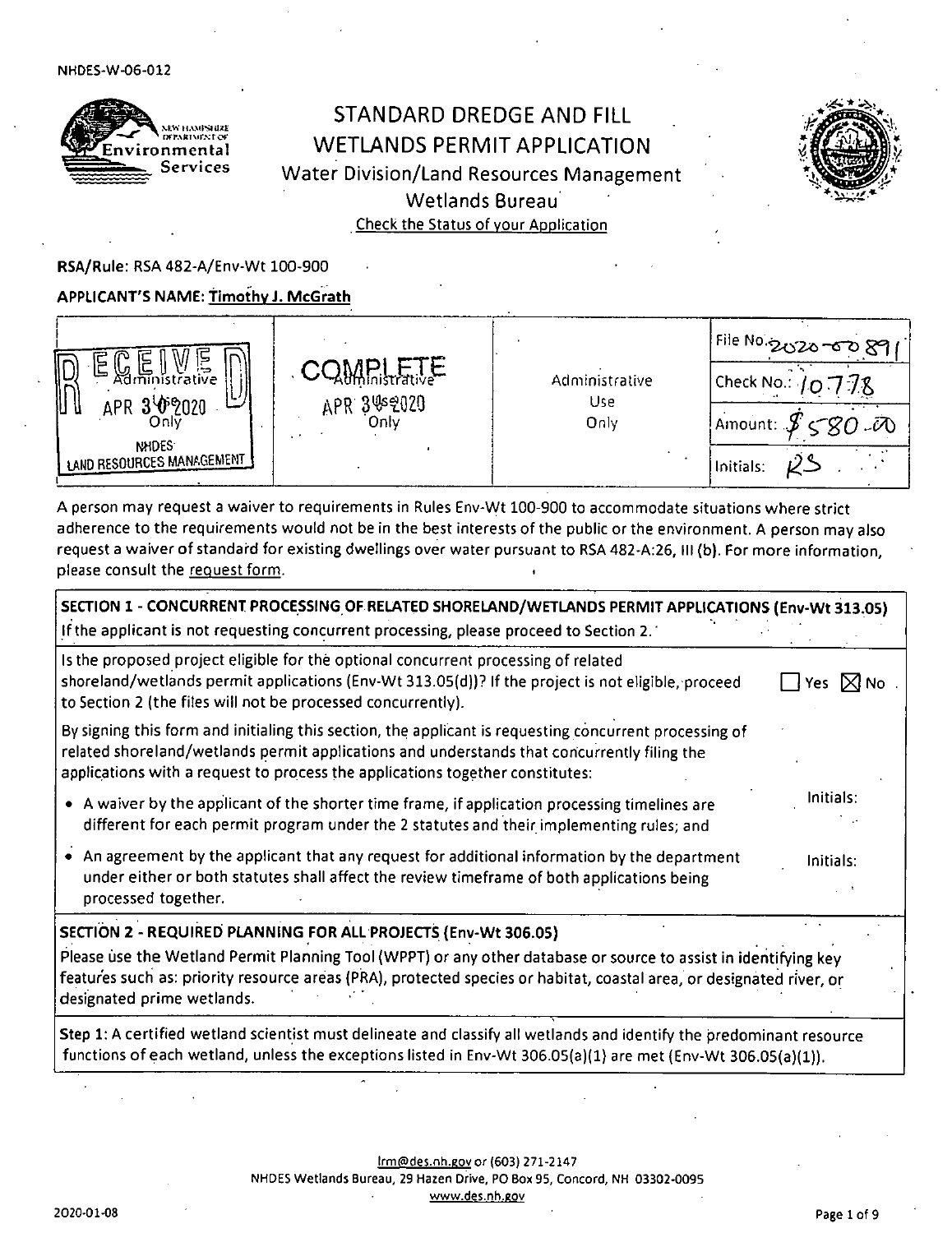

# STANDARD DREDGE AND FILL WETLANDS PERMIT APPLICATION Water Division/Land Resources Management Wetlands Bureau Check the Status of your Application



RSA/Rule: RSA 482-A/Env-Wt 100-900

#### APPLICANT'S NAME: Timothy J. McGrath

| ⋍<br>e<br>∥L<br>$\mathbb{M}$ in U $\approx$<br>ڪا<br>APR 3 0 2020<br>Onli<br><b>NHDES</b><br><b>LAND RESOURCES MANAGEMENT 1</b> | <b>Hithlnistrative</b><br>APR 3%2020<br>Onlv | Administrative<br>Use<br>Only | File No.2020-00 89<br>Check No.: $10.778$<br>Amount: $\mathcal{J} < \mathcal{B}$ $\mathcal{A}$<br>, Initials: |
|---------------------------------------------------------------------------------------------------------------------------------|----------------------------------------------|-------------------------------|---------------------------------------------------------------------------------------------------------------|
|---------------------------------------------------------------------------------------------------------------------------------|----------------------------------------------|-------------------------------|---------------------------------------------------------------------------------------------------------------|

A person may request a waiver to requirements in Rules Env-VVt 100-900 to accommodate situations where strict adherence to the requirements would not be in the best interests of the public or the environment. A person may also request a waiver of standard for existing dwellings over water pursuant to RSA 482-A:26, III (b). For more information, please consult the request form.

| SECTION 1 - CONCURRENT PROCESSING OF RELATED SHORELAND/WETLANDS PERMIT APPLICATIONS (Env-Wt 313.05)                                                                                                                                                                                    |                              |
|----------------------------------------------------------------------------------------------------------------------------------------------------------------------------------------------------------------------------------------------------------------------------------------|------------------------------|
| If the applicant is not requesting concurrent processing, please proceed to Section 2.                                                                                                                                                                                                 |                              |
| Is the proposed project eligible for the optional concurrent processing of related<br>shoreland/wetlands permit applications (Env-Wt 313.05(d))? If the project is not eligible, proceed<br>to Section 2 (the files will not be processed concurrently).                               | $\exists$ Yes $\boxtimes$ No |
| By signing this form and initialing this section, the applicant is requesting concurrent processing of<br>related shoreland/wetlands permit applications and understands that concurrently filing the<br>applications with a request to process the applications together constitutes: |                              |
| • A waiver by the applicant of the shorter time frame, if application processing timelines are<br>different for each permit program under the 2 statutes and their implementing rules; and                                                                                             | Initials:                    |
| • An agreement by the applicant that any request for additional information by the department<br>under either or both statutes shall affect the review timeframe of both applications being<br>processed together.                                                                     | Initials:                    |
| SECTION 2 - REQUIRED PLANNING FOR ALL PROJECTS (Env-Wt 306.05)                                                                                                                                                                                                                         |                              |
| Please use the Wetland Permit Planning Tool (WPPT) or any other database or source to assist in identifying key<br>features such as: priority resource areas (PRA), protected species or habitat, coastal area, or designated river, or<br>designated prime wetlands.                  |                              |
| Step 1: A certified wetland scientist must delineate and classify all wetlands and identify the predominant resource<br>functions of each wetland, unless the exceptions listed in Env-Wt 306.05(a)(1) are met (Env-Wt 306.05(a)(1)).                                                  |                              |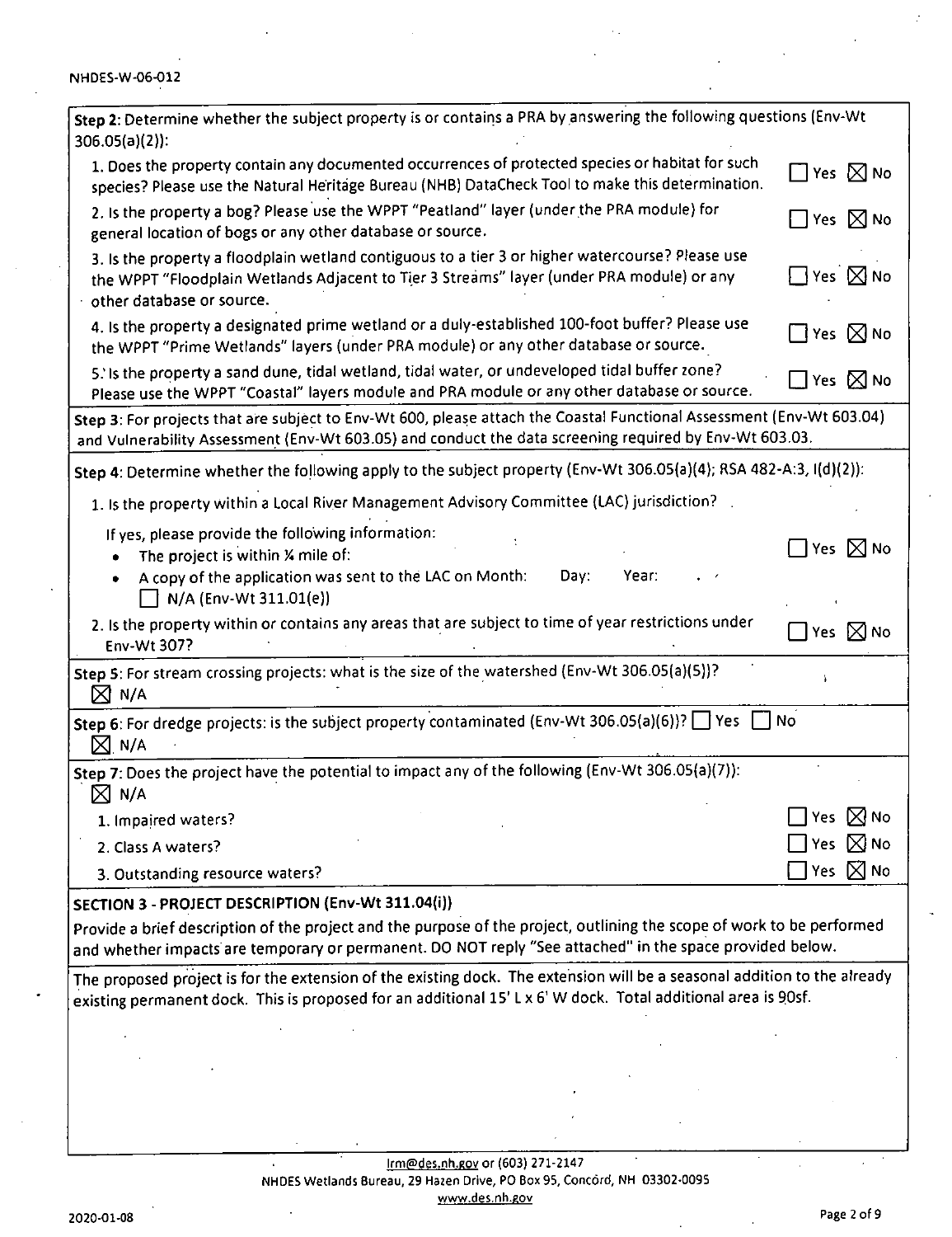| Step 2: Determine whether the subject property is or contains a PRA by answering the following questions (Env-Wt<br>$306.05(a)(2)$ :                                                                                                      |                              |
|-------------------------------------------------------------------------------------------------------------------------------------------------------------------------------------------------------------------------------------------|------------------------------|
| 1. Does the property contain any documented occurrences of protected species or habitat for such<br>species? Please use the Natural Heritage Bureau (NHB) DataCheck Tool to make this determination.                                      | $\Box$ Yes $\boxtimes$ No    |
| 2. Is the property a bog? Please use the WPPT "Peatland" layer (under the PRA module) for<br>general location of bogs or any other database or source.                                                                                    | $\Box$ Yes $\boxtimes$ No    |
| 3. Is the property a floodplain wetland contiguous to a tier 3 or higher watercourse? Please use<br>the WPPT "Floodplain Wetlands Adjacent to Tier 3 Streams" layer (under PRA module) or any<br>other database or source.                | $\Box$ Yes $\boxtimes$ No    |
| 4. Is the property a designated prime wetland or a duly-established 100-foot buffer? Please use<br>the WPPT "Prime Wetlands" layers (under PRA module) or any other database or source.                                                   | $\Box$ Yes $\boxtimes$ No    |
| 5. Is the property a sand dune, tidal wetland, tidal water, or undeveloped tidal buffer zone?<br>Please use the WPPT "Coastal" layers module and PRA module or any other database or source.                                              | $\square$ Yes $\boxtimes$ No |
| Step 3: For projects that are subject to Env-Wt 600, please attach the Coastal Functional Assessment (Env-Wt 603.04)<br>and Vulnerability Assessment (Env-Wt 603.05) and conduct the data screening required by Env-Wt 603.03.            |                              |
| Step 4: Determine whether the following apply to the subject property (Env-Wt 306.05(a)(4); RSA 482-A:3, I(d)(2)):                                                                                                                        |                              |
| 1. Is the property within a Local River Management Advisory Committee (LAC) jurisdiction?                                                                                                                                                 |                              |
| If yes, please provide the following information:                                                                                                                                                                                         |                              |
| The project is within X mile of:<br>٠                                                                                                                                                                                                     | $\Box$ Yes $\boxtimes$ No    |
| Year:<br>A copy of the application was sent to the LAC on Month:<br>Day:<br>٠<br>N/A (Env-Wt 311.01(e))                                                                                                                                   |                              |
| 2. Is the property within or contains any areas that are subject to time of year restrictions under                                                                                                                                       |                              |
| Env-Wt 307?                                                                                                                                                                                                                               | Yes $\boxtimes$ No           |
| Step 5: For stream crossing projects: what is the size of the watershed (Env-Wt 306.05(a)(5))?<br>$\boxtimes$ N/A                                                                                                                         |                              |
| Step 6: For dredge projects: is the subject property contaminated (Env-Wt 306.05(a)(6))? $\Box$ Yes $\Box$ No<br>$M_{\cdot}$ n/a                                                                                                          |                              |
| Step 7: Does the project have the potential to impact any of the following (Env-Wt 306.05(a)(7)):<br>$\boxtimes$ N/A                                                                                                                      |                              |
| 1. Impaired waters?                                                                                                                                                                                                                       | $\bowtie$ No<br>Yes          |
| 2. Class A waters?                                                                                                                                                                                                                        | $\bowtie$ No<br>Yes          |
| 3. Outstanding resource waters?                                                                                                                                                                                                           | $\bowtie$ No<br>Yes          |
| SECTION 3 - PROJECT DESCRIPTION (Env-Wt 311.04(i))                                                                                                                                                                                        |                              |
| Provide a brief description of the project and the purpose of the project, outlining the scope of work to be performed<br>and whether impacts are temporary or permanent. DO NOT reply "See attached" in the space provided below.        |                              |
| The proposed project is for the extension of the existing dock. The extension will be a seasonal addition to the already<br>existing permanent dock. This is proposed for an additional 15' L x 6' W dock. Total additional area is 90sf. |                              |
|                                                                                                                                                                                                                                           |                              |
|                                                                                                                                                                                                                                           |                              |
|                                                                                                                                                                                                                                           |                              |
|                                                                                                                                                                                                                                           |                              |
|                                                                                                                                                                                                                                           |                              |
| rm@der.ph.gov.or (603) 271-2147                                                                                                                                                                                                           |                              |

lfm(5)des.nh.eov or (603) 271-2147 NHDES Wetlands Bureau, 29 Hazen Drive, PO Box 95, Concord, NH 03302-0095 www.des.nh.gov

 $\ddot{\cdot}$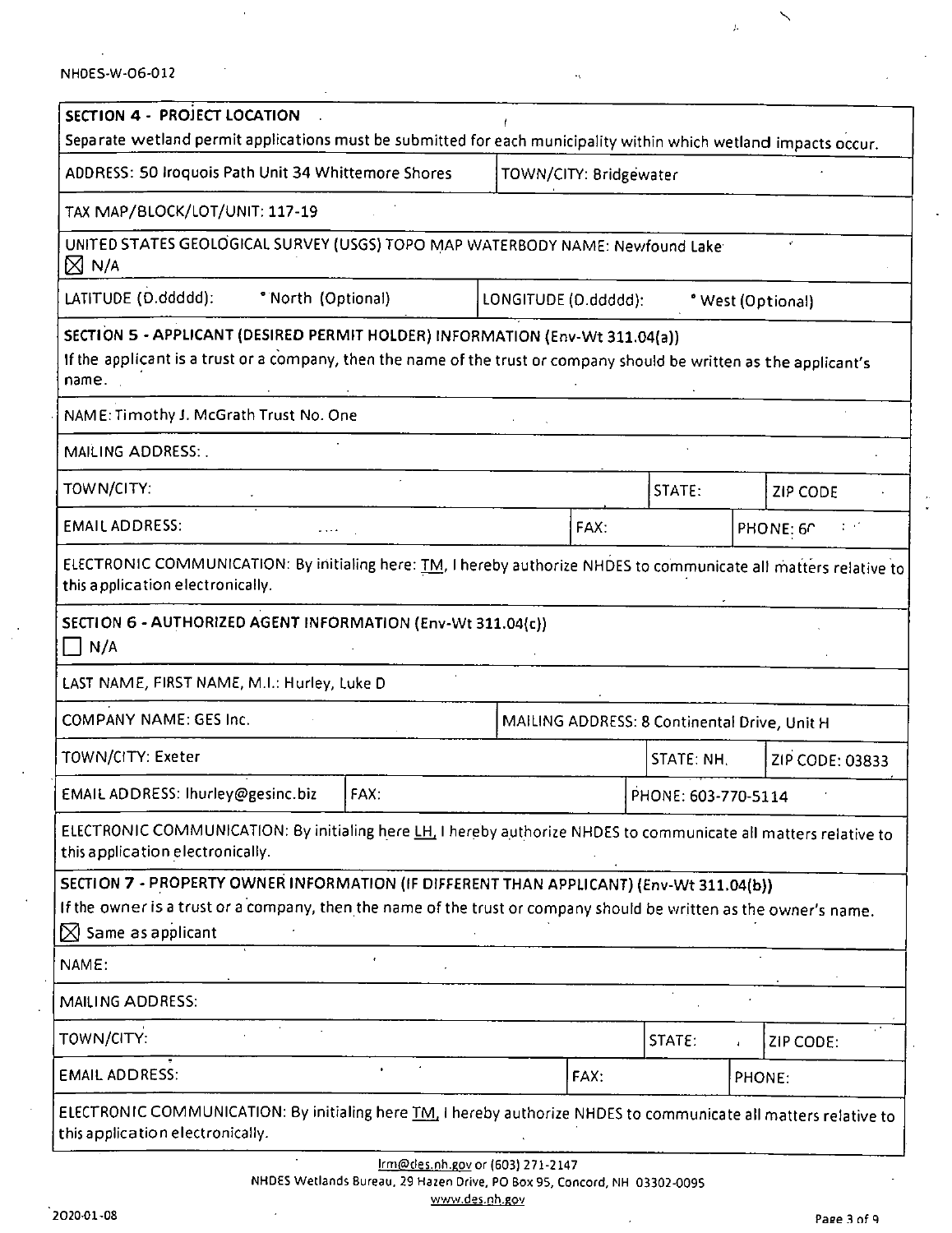|  | NHDES-W-06-012 |  |
|--|----------------|--|
|--|----------------|--|

| SECTION 4 - PROJECT LOCATION                                                                                                                                                                                                                   |                                                                               |                      |      |                                              |  |                   |
|------------------------------------------------------------------------------------------------------------------------------------------------------------------------------------------------------------------------------------------------|-------------------------------------------------------------------------------|----------------------|------|----------------------------------------------|--|-------------------|
| Separate wetland permit applications must be submitted for each municipality within which wetland impacts occur.                                                                                                                               |                                                                               |                      |      |                                              |  |                   |
|                                                                                                                                                                                                                                                | ADDRESS: 50 Iroquois Path Unit 34 Whittemore Shores<br>TOWN/CITY: Bridgewater |                      |      |                                              |  |                   |
| TAX MAP/BLOCK/LOT/UNIT: 117-19                                                                                                                                                                                                                 |                                                                               |                      |      |                                              |  |                   |
| UNITED STATES GEOLOGICAL SURVEY (USGS) TOPO MAP WATERBODY NAME: Newfound Lake<br>$\boxtimes$ N/A                                                                                                                                               |                                                                               |                      |      |                                              |  |                   |
| LATITUDE (D.ddddd):<br>* North (Optional)                                                                                                                                                                                                      |                                                                               | LONGITUDE (D.ddddd): |      |                                              |  | * West (Optional) |
| SECTION 5 - APPLICANT (DESIRED PERMIT HOLDER) INFORMATION (Env-Wt 311.04(a))<br>If the applicant is a trust or a company, then the name of the trust or company should be written as the applicant's<br>name.                                  |                                                                               |                      |      |                                              |  |                   |
| NAME: Timothy J. McGrath Trust No. One                                                                                                                                                                                                         |                                                                               |                      |      |                                              |  |                   |
| MAILING ADDRESS: .                                                                                                                                                                                                                             |                                                                               |                      |      |                                              |  |                   |
| TOWN/CITY:                                                                                                                                                                                                                                     |                                                                               |                      |      | STATE:                                       |  | <b>ZIP CODE</b>   |
| <b>EMAIL ADDRESS:</b>                                                                                                                                                                                                                          |                                                                               |                      | FAX: |                                              |  | PHONE: 60         |
| ELECTRONIC COMMUNICATION: By initialing here: <i>TM</i> , I hereby authorize NHDES to communicate all matters relative to<br>this application electronically.                                                                                  |                                                                               |                      |      |                                              |  |                   |
| SECTION 6 - AUTHORIZED AGENT INFORMATION (Env-Wt 311.04(c))<br>$\Box$ N/A                                                                                                                                                                      |                                                                               |                      |      |                                              |  |                   |
| LAST NAME, FIRST NAME, M.I.: Hurley, Luke D                                                                                                                                                                                                    |                                                                               |                      |      |                                              |  |                   |
| <b>COMPANY NAME: GES Inc.</b>                                                                                                                                                                                                                  |                                                                               |                      |      | MAILING ADDRESS: 8 Continental Drive, Unit H |  |                   |
| <b>TOWN/CITY: Exeter</b>                                                                                                                                                                                                                       |                                                                               |                      |      | STATE: NH,                                   |  | ZIP CODE: 03833   |
| EMAIL ADDRESS: Ihurley@gesinc.biz                                                                                                                                                                                                              | FAX:                                                                          |                      |      | PHONE: 603-770-5114                          |  |                   |
| ELECTRONIC COMMUNICATION: By initialing here LH. I hereby authorize NHDES to communicate all matters relative to<br>this application electronically.                                                                                           |                                                                               |                      |      |                                              |  |                   |
| SECTION 7 - PROPERTY OWNER INFORMATION (IF DIFFERENT THAN APPLICANT) (Env-Wt 311.04(b))<br>If the owner is a trust or a company, then the name of the trust or company should be written as the owner's name.<br>$\boxtimes$ Same as applicant |                                                                               |                      |      |                                              |  |                   |
| NAME:                                                                                                                                                                                                                                          |                                                                               |                      |      |                                              |  |                   |
| MAILING ADDRESS:                                                                                                                                                                                                                               |                                                                               |                      |      |                                              |  |                   |
| TOWN/CITY:                                                                                                                                                                                                                                     |                                                                               |                      |      | STATE:                                       |  | ZIP CODE:         |
| <b>EMAIL ADDRESS:</b>                                                                                                                                                                                                                          |                                                                               |                      | FAX: |                                              |  | PHONE:            |
| ELECTRONIC COMMUNICATION: By initialing here <i>TM</i> , I hereby authorize NHDES to communicate all matters relative to<br>this application electronically.                                                                                   |                                                                               |                      |      |                                              |  |                   |
|                                                                                                                                                                                                                                                | Irm@des.nh.gov or (603) 271-2147                                              |                      |      |                                              |  |                   |

NHDES Wetlands Bureau, 29 Hazen Drive. PO Box 95. Concord, NH 03302-0095 www.des.nh.gov

 $\diagdown$ 

 $\hat{\mathcal{A}}$ 

 $\lambda$ 

 $\mathcal{L}_\mathrm{C}$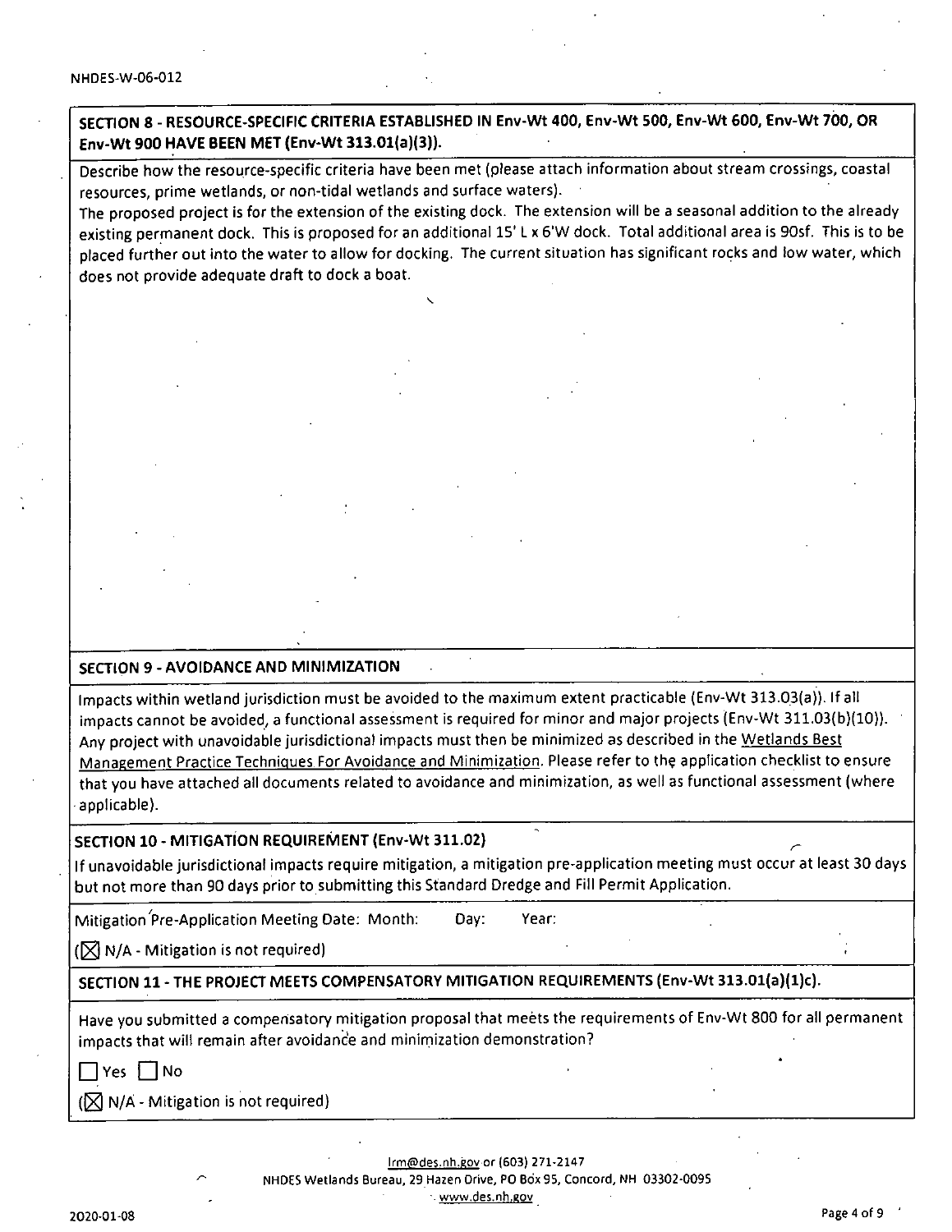SECTION 8 - RESOURCE-SPECIFIC CRITERIA ESTABLISHED IN Env-Wt 400, Env-Wt 500, Env-Wt 600, Env-Wt 700, OR Env-Wt 900 HAVE BEEN MET (Env-Wt 313.01(a)(3)).

Describe how the resource-specific criteria have been met (please attach information about stream crossings, coastal resources, prime wetlands, or non-tidal wetlands and surface waters).

The proposed project is for the extension of the existing dock. The extension will be a seasonal addition to the already existing permanent dock. This is proposed for an additional 15' L x 6'W dock. Total additional area is 90sf. This is to be placed further out into the water to allow for docking. The current situation has significant rocks and low water, which does not provide adequate draft to dock a boat.

#### SECTION 9 - AVOIDANCE AND MINIMIZATION

Impacts within wetland jurisdiction must be avoided to the maximum extent practicable (Env-Wt 313.0.3(a)). If all impacts cannot be avoided, a functional assessment is required for minor and major projects (Env-Wt 311.03(b)(10)). Any project with unavoidable jurisdictional impacts must then be minimized as described in the Wetlands Best Management Practice Techniques For Avoidance and Minimization. Please refer to the application checklist to ensure that you have attached all documents related to avoidance and minimization, as well as functional assessment (where applicable).

#### SECTION 10 - MITIGATION REQUIREMENT (Env-Wt 311.02)

If unavoidable jurisdictional impacts require mitigation, a mitigation pre-application meeting must occur at least 30 days but not more than 90 days prior to submitting this Standard Dredge and Fill Permit Application.

Mitigation'pre-Application Meeting Date; Month: Day: Year:

 $(\nabla \mathbf{N}/\mathbf{A} - \mathbf{M})$  - Mitigation is not required)

### SECTION 11 - THE PROJECT MEETS COMPENSATORY MITIGATION REQUIREMENTS (Env-Wt 313.01(a)(1)c).

Have you submitted a compensatory mitigation proposal that meets the requirements of Env-Wt 800 for all permanent Impacts that will remain after avoidance and minirnization demonstration?

 $\Box$  Yes  $\Box$  No

 $(\sqrt{2})$  N/A - Mitigation is not required)

lrm@des.nh.gov or (603) 271-2147 ^ NHDES Wetlands Bureau, 29 Hazen Drive, PC Box 95, Concord, NH 03302-0095 •- www.des.nh.eov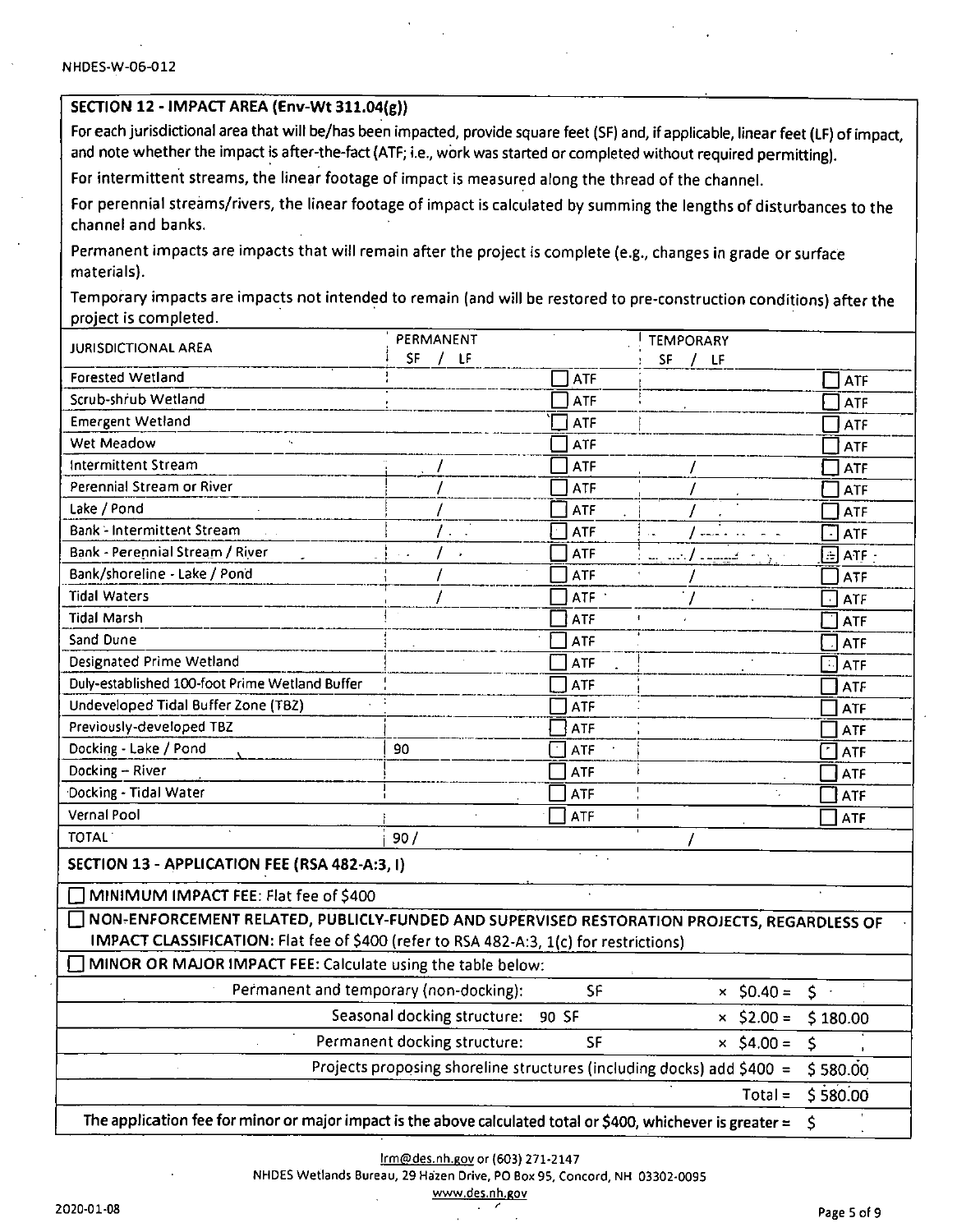#### SECTION 12 - IMPACT AREA (Env-Wt 311.04(g))

For each jurisdictional area that will be/has been impacted, provide square feet (SF) and, if applicable, linear feet (LF) of impact, and note whether the impact is after-the-fact (ATF; i.e., work was started or completed without required permitting).

For intermittent streams, the linear footage of impact is measured along the thread of the channel.

For perennial streams/rivers, the linear footage of impact is calculated by summing the lengths of disturbances to the channel and banks.

Permanent impacts are impacts that will remain after the project is complete (e.g., changes in grade or surface materials).

Temporary impacts are impacts not intended to remain (and will be restored to pre-construction conditions) after the project is completed.

| <b>JURISDICTIONAL AREA</b>                                                                                              | PERMANENT                                                             |            | <b>TEMPORARY</b>           |                     |
|-------------------------------------------------------------------------------------------------------------------------|-----------------------------------------------------------------------|------------|----------------------------|---------------------|
|                                                                                                                         | SF / IF                                                               |            | SF / IF                    |                     |
| Forested Wetland                                                                                                        |                                                                       | <b>ATF</b> |                            | ATF                 |
| Scrub-shrub Wetland                                                                                                     |                                                                       | ATF        |                            | <b>ATF</b>          |
| <b>Emergent Wetland</b>                                                                                                 |                                                                       | ATF        |                            | ATF                 |
| Wet Meadow                                                                                                              |                                                                       | ATF        |                            | <b>ATF</b>          |
| Intermittent Stream                                                                                                     |                                                                       | <b>ATF</b> |                            | <b>ATF</b>          |
| Perennial Stream or River                                                                                               |                                                                       | <b>ATF</b> |                            | <b>ATF</b>          |
| Lake / Pond                                                                                                             |                                                                       | <b>ATF</b> |                            | <b>ATF</b>          |
| <b>Bank - Intermittent Stream</b>                                                                                       |                                                                       | <b>ATF</b> |                            | $\mathbf{L}$<br>ATF |
| Bank - Perennial Stream / River                                                                                         |                                                                       | <b>ATF</b> | الإبراج القييسية الرئيس سا | $\boxdot$ atf -     |
| Bank/shoreline - Lake / Pond                                                                                            |                                                                       | <b>ATF</b> |                            | <b>ATF</b>          |
| <b>Tidal Waters</b>                                                                                                     |                                                                       | <b>ATF</b> |                            | $\Box$ ATF          |
| <b>Tidal Marsh</b>                                                                                                      |                                                                       | ATF        | $\pmb{\ddagger}$           | <b>ATF</b>          |
| Sand Dune                                                                                                               |                                                                       | ATF        |                            | <b>ATF</b>          |
| Designated Prime Wetland                                                                                                |                                                                       | <b>ATF</b> |                            | ा<br><b>ATF</b>     |
| Duly-established 100-foot Prime Wetland Buffer                                                                          |                                                                       | ATF        |                            | <b>ATF</b>          |
| Undeveloped Tidal Buffer Zone (T8Z)                                                                                     |                                                                       | ATF        |                            | <b>ATF</b>          |
| Previously-developed TBZ                                                                                                |                                                                       | ATF        |                            | <b>ATF</b>          |
| Docking - Lake / Pond                                                                                                   | 90                                                                    | ATF        |                            | <b>ATF</b>          |
| Docking - River                                                                                                         |                                                                       | <b>ATF</b> |                            | ATF                 |
| Docking - Tidal Water                                                                                                   |                                                                       | <b>ATF</b> |                            | ATF                 |
| Vernal Pool                                                                                                             |                                                                       | <b>ATF</b> |                            | ATF                 |
| <b>TOTAL</b>                                                                                                            | 90/                                                                   |            |                            |                     |
| SECTION 13 - APPLICATION FEE (RSA 482-A:3, I)                                                                           |                                                                       | Т.,        |                            |                     |
| MINIMUM IMPACT FEE: Flat fee of \$400                                                                                   |                                                                       |            |                            |                     |
| NON-ENFORCEMENT RELATED, PUBLICLY-FUNDED AND SUPERVISED RESTORATION PROJECTS, REGARDLESS OF                             |                                                                       |            |                            |                     |
| IMPACT CLASSIFICATION: Flat fee of \$400 (refer to RSA 482-A:3, 1(c) for restrictions)                                  |                                                                       |            |                            |                     |
| MINOR OR MAJOR IMPACT FEE: Calculate using the table below:                                                             |                                                                       |            |                            |                     |
| Permanent and temporary (non-docking):                                                                                  |                                                                       | SF         | $\times$ \$0.40 =          | $5 -$               |
|                                                                                                                         | Seasonal docking structure:                                           | 90 SF      | $\times$ \$2.00 =          | \$180.00            |
|                                                                                                                         | Permanent docking structure:                                          | <b>SF</b>  | $\times$ \$4.00 =          | \$                  |
|                                                                                                                         | Projects proposing shoreline structures (including docks) add \$400 = |            |                            | \$580.00            |
|                                                                                                                         |                                                                       |            | $Total =$                  | \$580.00            |
| The application fee for minor or major impact is the above calculated total or \$400, whichever is greater = $\Diamond$ |                                                                       |            |                            |                     |

lrm@des.nh.eov or (603) 271-2147

NHDES Wetlands Bureau, 29 Ha'zen Drive, PO Box 95, Concord, NH 03302-0095

www.des.nh.gov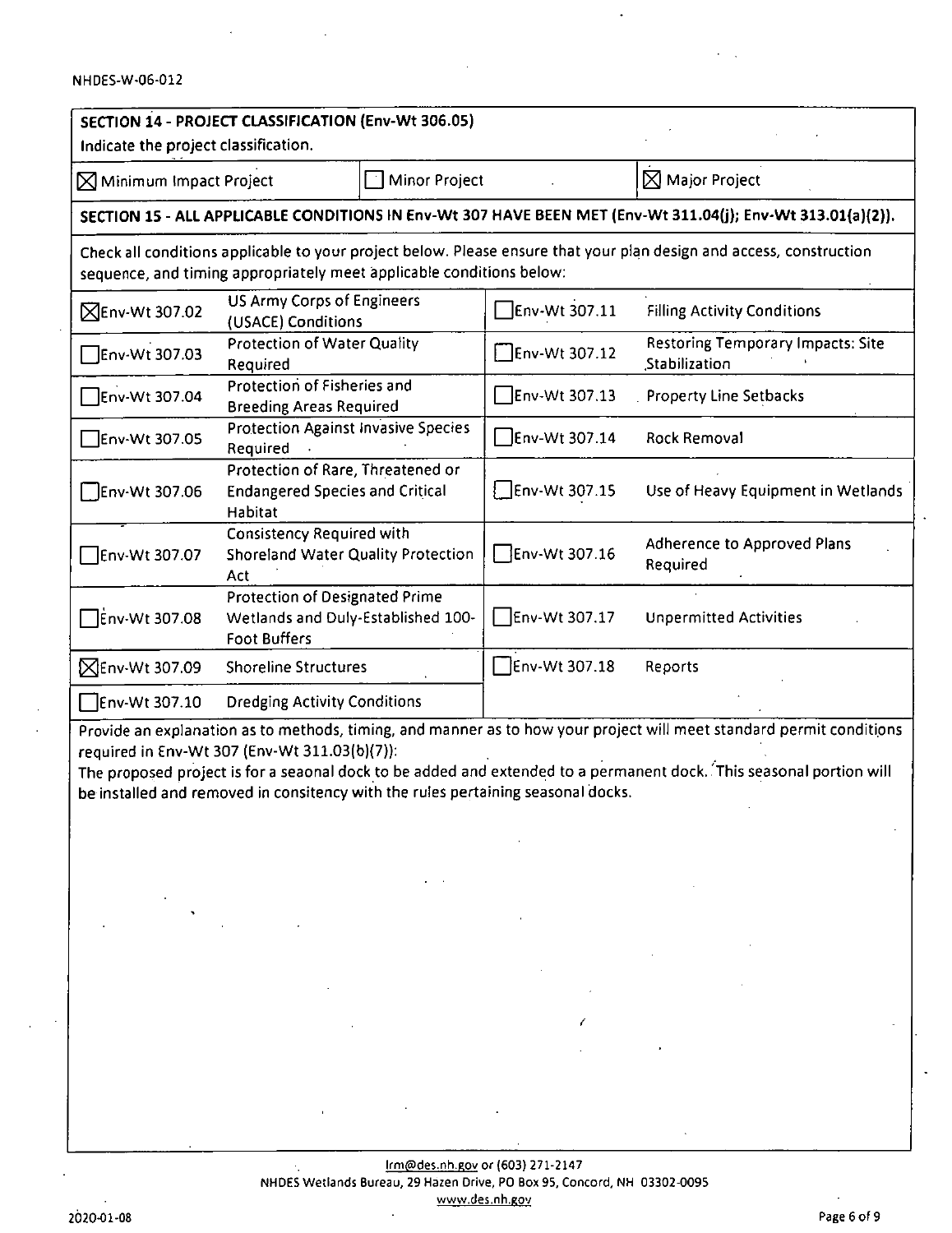$\ddot{\phantom{a}}$ 

 $\ddot{\phantom{a}}$ 

| SECTION 14 - PROJECT CLASSIFICATION (Env-Wt 306.05)<br>Indicate the project classification.                                                                                                                                                                                                                                                                                      |                                                                                                              |               |               |                                                                                                             |  |  |  |
|----------------------------------------------------------------------------------------------------------------------------------------------------------------------------------------------------------------------------------------------------------------------------------------------------------------------------------------------------------------------------------|--------------------------------------------------------------------------------------------------------------|---------------|---------------|-------------------------------------------------------------------------------------------------------------|--|--|--|
| $\boxtimes$ Minimum Impact Project                                                                                                                                                                                                                                                                                                                                               |                                                                                                              | Minor Project |               | $\boxtimes$ Major Project                                                                                   |  |  |  |
|                                                                                                                                                                                                                                                                                                                                                                                  |                                                                                                              |               |               | SECTION 15 - ALL APPLICABLE CONDITIONS IN Env-Wt 307 HAVE BEEN MET (Env-Wt 311.04(j); Env-Wt 313.01(a)(2)). |  |  |  |
| Check all conditions applicable to your project below. Please ensure that your plan design and access, construction<br>sequence, and timing appropriately meet applicable conditions below:                                                                                                                                                                                      |                                                                                                              |               |               |                                                                                                             |  |  |  |
| <b>NEnv-Wt 307.02</b>                                                                                                                                                                                                                                                                                                                                                            | <b>US Army Corps of Engineers</b><br>(USACE) Conditions                                                      |               | Env-Wt 307.11 | <b>Filling Activity Conditions</b>                                                                          |  |  |  |
| Env-Wt 307.03                                                                                                                                                                                                                                                                                                                                                                    | <b>Protection of Water Quality</b><br>Required                                                               |               | Env-Wt 307.12 | <b>Restoring Temporary Impacts: Site</b><br>Stabilization                                                   |  |  |  |
| Flenv-Wt 307.04                                                                                                                                                                                                                                                                                                                                                                  | Protection of Fisheries and<br><b>Breeding Areas Required</b>                                                |               | Env-Wt 307.13 | <b>Property Line Setbacks</b>                                                                               |  |  |  |
| Env-Wt 307.05                                                                                                                                                                                                                                                                                                                                                                    | <b>Protection Against Invasive Species</b><br>Required                                                       |               | Env-Wt 307.14 | <b>Rock Removal</b>                                                                                         |  |  |  |
| Env-Wt 307.06                                                                                                                                                                                                                                                                                                                                                                    | Protection of Rare, Threatened or<br><b>Endangered Species and Critical</b><br>Habitat                       |               | Env-Wt 307.15 | Use of Heavy Equipment in Wetlands                                                                          |  |  |  |
| Env-Wt 307.07                                                                                                                                                                                                                                                                                                                                                                    | <b>Consistency Required with</b><br><b>Shoreland Water Quality Protection</b><br>Act                         |               | Env-Wt 307.16 | Adherence to Approved Plans<br>Required                                                                     |  |  |  |
| Env-Wt 307.08                                                                                                                                                                                                                                                                                                                                                                    | Protection of Designated Prime<br>Wetlands and Duly-Established 100-<br><b>Foot Buffers</b>                  |               | Env-Wt 307.17 | <b>Unpermitted Activities</b>                                                                               |  |  |  |
| <b>XEnv-Wt 307.09</b>                                                                                                                                                                                                                                                                                                                                                            | <b>Shoreline Structures</b>                                                                                  |               | Env-Wt 307.18 | Reports                                                                                                     |  |  |  |
| Env-Wt 307.10                                                                                                                                                                                                                                                                                                                                                                    | <b>Dredging Activity Conditions</b>                                                                          |               |               |                                                                                                             |  |  |  |
| Provide an explanation as to methods, timing, and manner as to how your project will meet standard permit conditions<br>required in Env-Wt 307 (Env-Wt 311.03(b)(7)):<br>The proposed project is for a seaonal dock to be added and extended to a permanent dock. This seasonal portion will<br>be installed and removed in consitency with the rules pertaining seasonal docks. |                                                                                                              |               |               |                                                                                                             |  |  |  |
|                                                                                                                                                                                                                                                                                                                                                                                  |                                                                                                              |               |               |                                                                                                             |  |  |  |
|                                                                                                                                                                                                                                                                                                                                                                                  |                                                                                                              |               |               |                                                                                                             |  |  |  |
|                                                                                                                                                                                                                                                                                                                                                                                  |                                                                                                              |               |               |                                                                                                             |  |  |  |
|                                                                                                                                                                                                                                                                                                                                                                                  |                                                                                                              |               |               |                                                                                                             |  |  |  |
|                                                                                                                                                                                                                                                                                                                                                                                  |                                                                                                              |               |               |                                                                                                             |  |  |  |
|                                                                                                                                                                                                                                                                                                                                                                                  |                                                                                                              |               |               |                                                                                                             |  |  |  |
|                                                                                                                                                                                                                                                                                                                                                                                  |                                                                                                              |               |               |                                                                                                             |  |  |  |
|                                                                                                                                                                                                                                                                                                                                                                                  |                                                                                                              |               |               |                                                                                                             |  |  |  |
|                                                                                                                                                                                                                                                                                                                                                                                  | Irm@des.nh.gov or (603) 271-2147<br>NHDES Wetlands Bureau, 29 Hazen Drive, PO Box 95, Concord, NH 03302-0095 |               |               |                                                                                                             |  |  |  |

 $\ddot{\phantom{0}}$ 

 $\epsilon = 1$ 

www.des.nh.eov

 $\sim$ 

 $\ddot{\phantom{a}}$ 

 $\hat{\mathbf{z}}$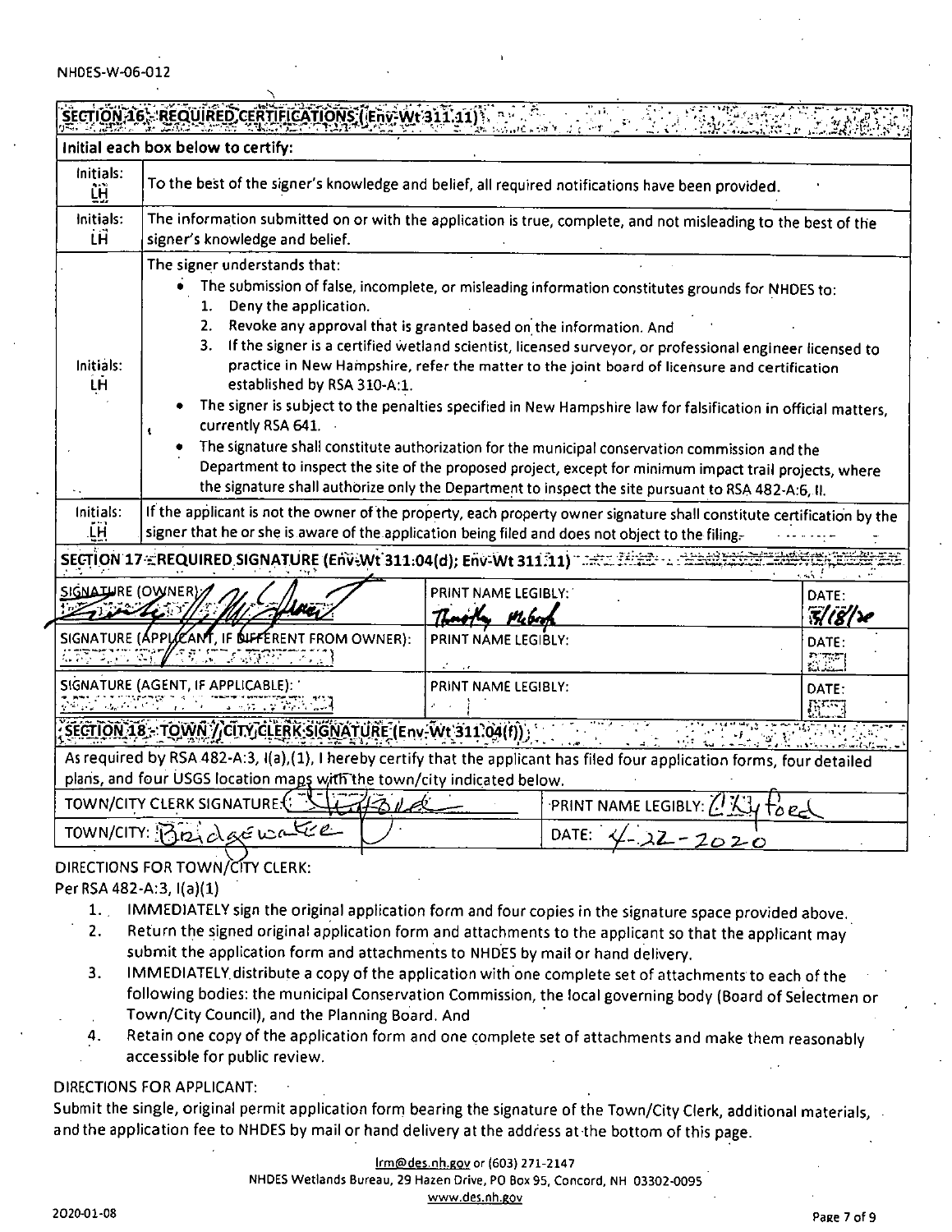| REQUIRED.CERTIFICATIONS ( Env-Wt 311.11<br>Cader Y                                                                                                                                                  |                                                                                                                                                                                                                                                                                                                                                                                                                                                                                                                                                                                                                                                                                                                                                                                                                                                                                                                                                      |                                              |  |                                     |  |
|-----------------------------------------------------------------------------------------------------------------------------------------------------------------------------------------------------|------------------------------------------------------------------------------------------------------------------------------------------------------------------------------------------------------------------------------------------------------------------------------------------------------------------------------------------------------------------------------------------------------------------------------------------------------------------------------------------------------------------------------------------------------------------------------------------------------------------------------------------------------------------------------------------------------------------------------------------------------------------------------------------------------------------------------------------------------------------------------------------------------------------------------------------------------|----------------------------------------------|--|-------------------------------------|--|
| Initial each box below to certify:                                                                                                                                                                  |                                                                                                                                                                                                                                                                                                                                                                                                                                                                                                                                                                                                                                                                                                                                                                                                                                                                                                                                                      |                                              |  |                                     |  |
| Initials:<br>ĹĤ                                                                                                                                                                                     | To the best of the signer's knowledge and belief, all required notifications have been provided.                                                                                                                                                                                                                                                                                                                                                                                                                                                                                                                                                                                                                                                                                                                                                                                                                                                     |                                              |  |                                     |  |
| Initials:<br>ĹĤ                                                                                                                                                                                     | The information submitted on or with the application is true, complete, and not misleading to the best of the<br>signer's knowledge and belief.                                                                                                                                                                                                                                                                                                                                                                                                                                                                                                                                                                                                                                                                                                                                                                                                      |                                              |  |                                     |  |
| Initials:<br>LĤ                                                                                                                                                                                     | The signer understands that:<br>The submission of false, incomplete, or misleading information constitutes grounds for NHDES to:<br>Deny the application.<br>1.<br>Revoke any approval that is granted based on the information. And<br>2.<br>3.<br>If the signer is a certified wetland scientist, licensed surveyor, or professional engineer licensed to<br>practice in New Hampshire, refer the matter to the joint board of licensure and certification<br>established by RSA 310-A:1.<br>The signer is subject to the penalties specified in New Hampshire law for falsification in official matters,<br>currently RSA 641.<br>The signature shall constitute authorization for the municipal conservation commission and the<br>Department to inspect the site of the proposed project, except for minimum impact trail projects, where<br>the signature shall authorize only the Department to inspect the site pursuant to RSA 482-A:6, II. |                                              |  |                                     |  |
| Initials:<br>ĹН                                                                                                                                                                                     | If the applicant is not the owner of the property, each property owner signature shall constitute certification by the<br>signer that he or she is aware of the application being filed and does not object to the filing.                                                                                                                                                                                                                                                                                                                                                                                                                                                                                                                                                                                                                                                                                                                           |                                              |  |                                     |  |
|                                                                                                                                                                                                     | SECTION 17 EREQUIRED SIGNATURE (Env-Wt 311.04(d); Env-Wt 311.11) Tach                                                                                                                                                                                                                                                                                                                                                                                                                                                                                                                                                                                                                                                                                                                                                                                                                                                                                |                                              |  |                                     |  |
| SIGNATURE (OWNER)                                                                                                                                                                                   |                                                                                                                                                                                                                                                                                                                                                                                                                                                                                                                                                                                                                                                                                                                                                                                                                                                                                                                                                      | PRINT NAME LEGIBLY:<br>Th <b>aoile</b> Weber |  | DATE:<br>$\mathcal{R}(\mathcal{B})$ |  |
| <u> 1919 - 37</u>                                                                                                                                                                                   | SIGNATURE (APPLICANT, IF OUFFERENT FROM OWNER):<br><u> 19 M LIBRETZER </u>                                                                                                                                                                                                                                                                                                                                                                                                                                                                                                                                                                                                                                                                                                                                                                                                                                                                           | PRINT NAME LEGIBLY:                          |  | DATE:                               |  |
|                                                                                                                                                                                                     | SIGNATURE (AGENT, IF APPLICABLE):<br>PRINT NAME LEGIBLY:<br>DATE:<br>And the Common Service of the Sea<br><b>REGIST</b>                                                                                                                                                                                                                                                                                                                                                                                                                                                                                                                                                                                                                                                                                                                                                                                                                              |                                              |  |                                     |  |
| SECTION 18 - TOWN / CITY CLERK SIGNATURE (Env-Wt 311.04(f)                                                                                                                                          |                                                                                                                                                                                                                                                                                                                                                                                                                                                                                                                                                                                                                                                                                                                                                                                                                                                                                                                                                      |                                              |  |                                     |  |
| As required by RSA 482-A:3, I(a),(1), I hereby certify that the applicant has filed four application forms, four detailed<br>plans, and four USGS location maps with the town/city indicated below. |                                                                                                                                                                                                                                                                                                                                                                                                                                                                                                                                                                                                                                                                                                                                                                                                                                                                                                                                                      |                                              |  |                                     |  |
| TOWN/CITY CLERK SIGNATURE:<br>PRINT NAME LEGIBLY: 7.1<br>י∠ס מ                                                                                                                                      |                                                                                                                                                                                                                                                                                                                                                                                                                                                                                                                                                                                                                                                                                                                                                                                                                                                                                                                                                      |                                              |  |                                     |  |
| TOWN/CITY: Biz decide<br>DATE:                                                                                                                                                                      |                                                                                                                                                                                                                                                                                                                                                                                                                                                                                                                                                                                                                                                                                                                                                                                                                                                                                                                                                      |                                              |  |                                     |  |

DIRECTIONS FOR TOWN/CITY CLERK:

Per RSA 482-A:3, I(a)(1)

- 1. IMMEDIATELY sign the original application form and four copies in the signature space provided above.
- Return the signed original application form and attachments to the applicant so that the applicant may submit the application form and attachments to NHDES by mail or hand delivery. 2.
- IMMEDIATELY.distribute a copy of the application with one complete set of attachments to each of the following bodies: the municipal Conservation Commission, the local governing body (Board of Selectmen or Town/City Council), and the Planning Board. And 3.
- Retain one copy of the application form and one complete set of attachments and make them reasonably accessible for public review. 4.

#### DIRECTIONS FOR APPLICANT:

Submit the single, original permit application form bearing the signature of the Town/City Clerk, additional materials, and the application fee to NHDES by mail or hand delivery at the address at-the bottom of this page.

IrmOdes.nh.gQv or (603) 271-2147

NHDES Wetlands Bureau, 29 Hazen Drive, PC Box 95, Concord. NH 03302-0095

www.des.nh.gov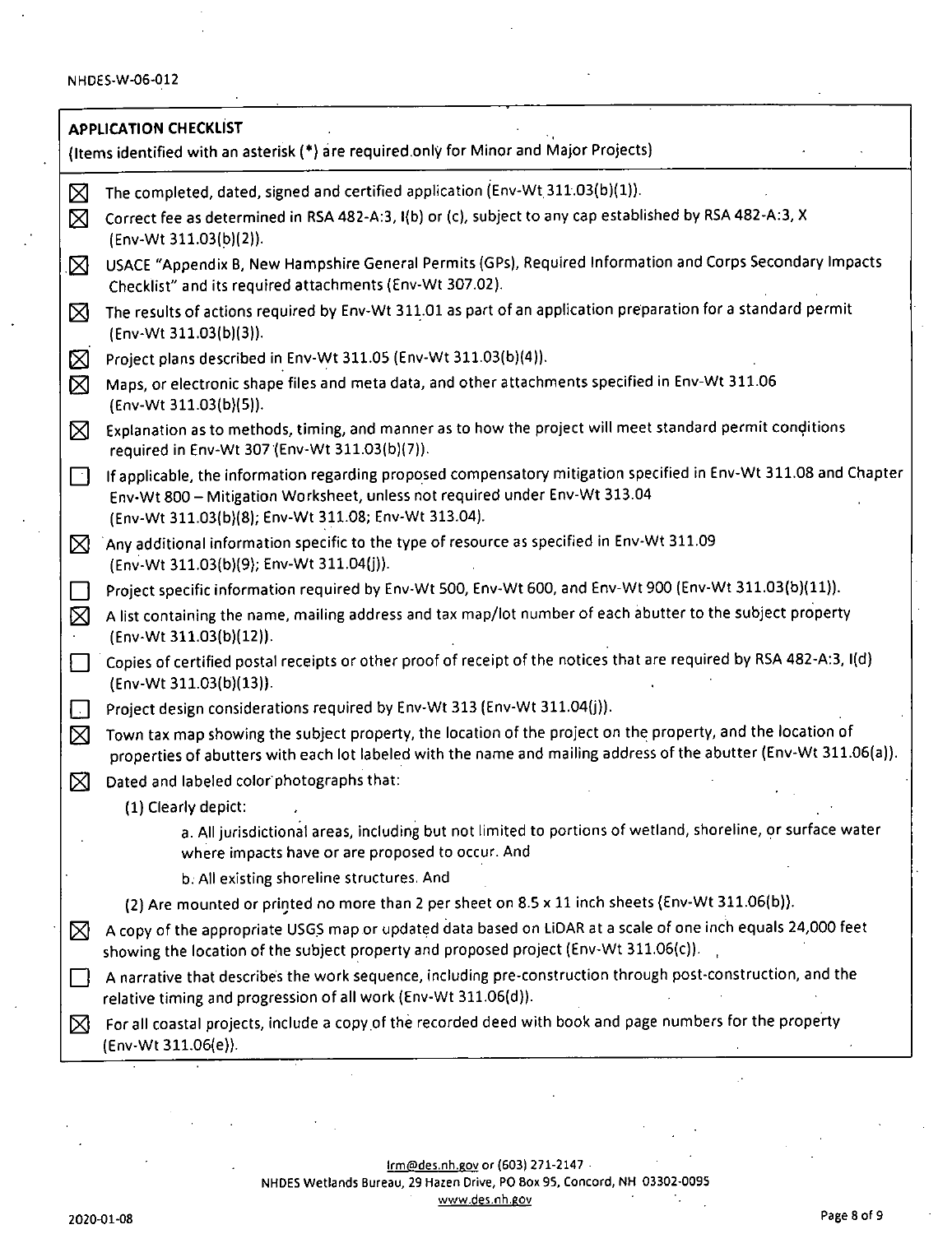| <b>APPLICATION CHECKLIST</b> |                                                                                                                                                                                                                                                        |  |  |  |  |  |
|------------------------------|--------------------------------------------------------------------------------------------------------------------------------------------------------------------------------------------------------------------------------------------------------|--|--|--|--|--|
|                              | (Items identified with an asterisk (*) are required only for Minor and Major Projects)                                                                                                                                                                 |  |  |  |  |  |
| ⊠                            | The completed, dated, signed and certified application (Env-Wt 311.03(b)(1)).                                                                                                                                                                          |  |  |  |  |  |
| ⊠                            | Correct fee as determined in RSA 482-A:3, I(b) or (c), subject to any cap established by RSA 482-A:3, X<br>(Env-Wt 311.03(b)(2)).                                                                                                                      |  |  |  |  |  |
| ⊠                            | USACE "Appendix B, New Hampshire General Permits (GPs), Required Information and Corps Secondary Impacts<br>Checklist" and its required attachments (Env-Wt 307.02).                                                                                   |  |  |  |  |  |
| ⊠                            | The results of actions required by Env-Wt 311.01 as part of an application preparation for a standard permit<br>(Env-Wt 311.03(b)(3)).                                                                                                                 |  |  |  |  |  |
| ⊠                            | Project plans described in Env-Wt 311.05 (Env-Wt 311.03(b)(4)).                                                                                                                                                                                        |  |  |  |  |  |
| ⊠                            | Maps, or electronic shape files and meta data, and other attachments specified in Env-Wt 311.06<br>(Env-Wt 311.03(b)(5)).                                                                                                                              |  |  |  |  |  |
| ⊠                            | Explanation as to methods, timing, and manner as to how the project will meet standard permit conditions<br>required in Env-Wt 307 (Env-Wt 311.03(b)(7)).                                                                                              |  |  |  |  |  |
| ĪЧ                           | If applicable, the information regarding proposed compensatory mitigation specified in Env-Wt 311.08 and Chapter<br>Env-Wt 800 - Mitigation Worksheet, unless not required under Env-Wt 313.04<br>(Env-Wt 311.03(b)(8); Env-Wt 311.08; Env-Wt 313.04). |  |  |  |  |  |
| $\boxtimes$                  | Any additional information specific to the type of resource as specified in Env-Wt 311.09<br>(Env-Wt 311.03(b)(9); Env-Wt 311.04(j)).                                                                                                                  |  |  |  |  |  |
|                              | Project specific information required by Env-Wt 500, Env-Wt 600, and Env-Wt 900 (Env-Wt 311.03(b)(11)).                                                                                                                                                |  |  |  |  |  |
| ⊠                            | A list containing the name, mailing address and tax map/lot number of each abutter to the subject property<br>(Env-Wt 311.03(b)(12)).                                                                                                                  |  |  |  |  |  |
|                              | Copies of certified postal receipts or other proof of receipt of the notices that are required by RSA 482-A:3, I(d)<br>(Env-Wt 311.03(b)(13)).                                                                                                         |  |  |  |  |  |
| Ш                            | Project design considerations required by Env-Wt 313 (Env-Wt 311.04(j)).                                                                                                                                                                               |  |  |  |  |  |
| ⊠                            | Town tax map showing the subject property, the location of the project on the property, and the location of<br>properties of abutters with each lot labeled with the name and mailing address of the abutter (Env-Wt 311.06(a)).                       |  |  |  |  |  |
| ⊠                            | Dated and labeled color photographs that:                                                                                                                                                                                                              |  |  |  |  |  |
|                              | (1) Clearly depict:                                                                                                                                                                                                                                    |  |  |  |  |  |
|                              | a. All jurisdictional areas, including but not limited to portions of wetland, shoreline, or surface water<br>where impacts have or are proposed to occur. And                                                                                         |  |  |  |  |  |
|                              | b. All existing shoreline structures. And                                                                                                                                                                                                              |  |  |  |  |  |
|                              | (2) Are mounted or printed no more than 2 per sheet on 8.5 x 11 inch sheets (Env-Wt 311.06(b)).                                                                                                                                                        |  |  |  |  |  |
| $\boxtimes$                  | A copy of the appropriate USGS map or updated data based on LiDAR at a scale of one inch equals 24,000 feet<br>showing the location of the subject property and proposed project (Env-Wt 311.06(c)).                                                   |  |  |  |  |  |
|                              | A narrative that describes the work sequence, including pre-construction through post-construction, and the<br>relative timing and progression of all work (Env-Wt 311.06(d)).                                                                         |  |  |  |  |  |
| $\boxtimes$                  | For all coastal projects, include a copy of the recorded deed with book and page numbers for the property<br>(Env-Wt 311.06(e)).                                                                                                                       |  |  |  |  |  |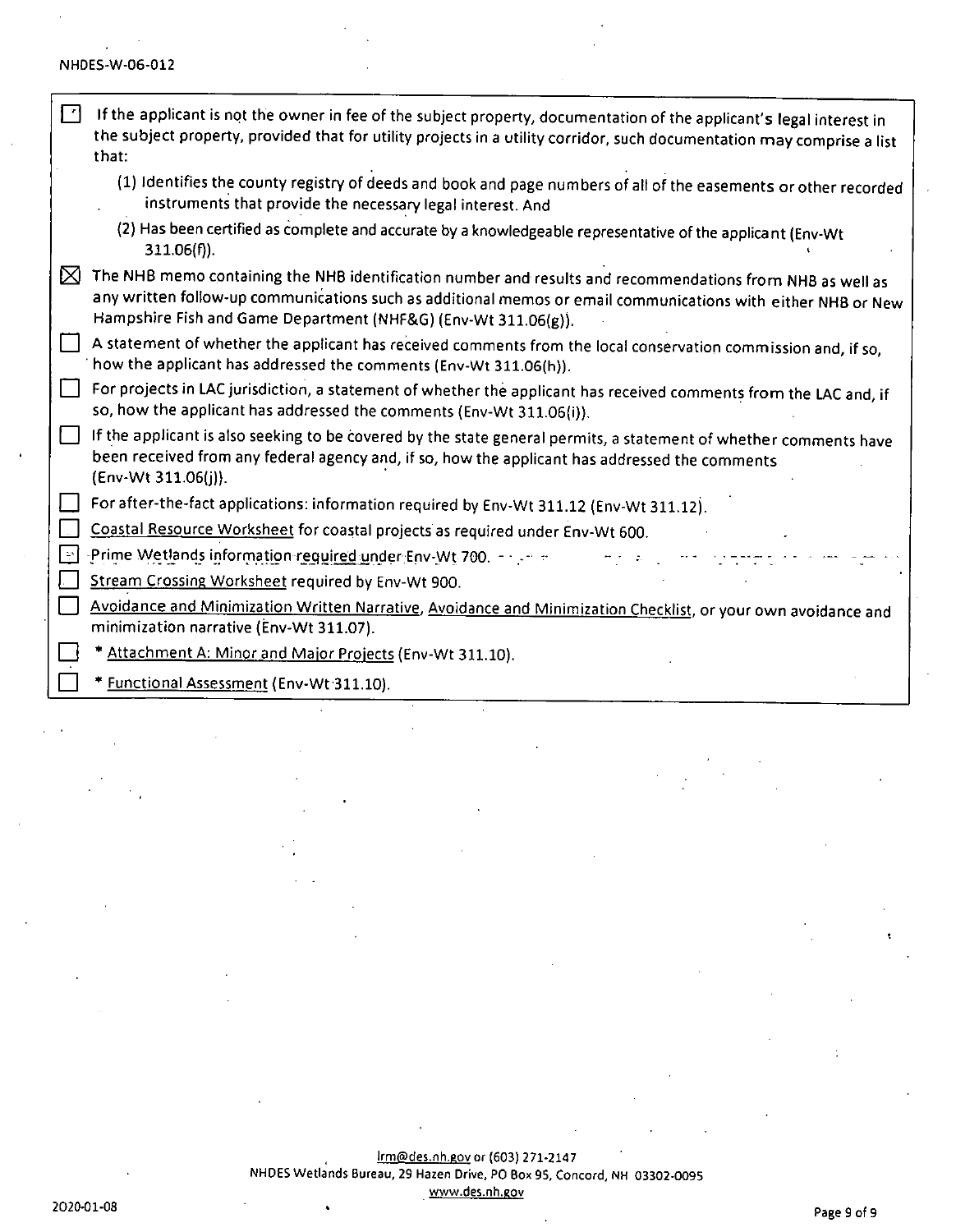| 团   | If the applicant is not the owner in fee of the subject property, documentation of the applicant's legal interest in<br>the subject property, provided that for utility projects in a utility corridor, such documentation may comprise a list<br>that.                                     |
|-----|---------------------------------------------------------------------------------------------------------------------------------------------------------------------------------------------------------------------------------------------------------------------------------------------|
|     | (1) Identifies the county registry of deeds and book and page numbers of all of the easements or other recorded<br>instruments that provide the necessary legal interest. And                                                                                                               |
|     | (2) Has been certified as complete and accurate by a knowledgeable representative of the applicant (Env-Wt<br>$311.06(f)$ ).                                                                                                                                                                |
| ⊠   | The NHB memo containing the NHB identification number and results and recommendations from NHB as well as<br>any written follow-up communications such as additional memos or email communications with either NHB or New<br>Hampshire Fish and Game Department (NHF&G) (Env-Wt 311.06(g)). |
|     | A statement of whether the applicant has received comments from the local conservation commission and, if so,<br>how the applicant has addressed the comments (Env-Wt 311.06(h)).                                                                                                           |
|     | For projects in LAC jurisdiction, a statement of whether the applicant has received comments from the LAC and, if<br>so, how the applicant has addressed the comments (Env-Wt 311.06(i)).                                                                                                   |
| ιı  | If the applicant is also seeking to be covered by the state general permits, a statement of whether comments have<br>been received from any federal agency and, if so, how the applicant has addressed the comments<br>(Env-Wt 311.06(j)).                                                  |
|     | For after-the-fact applications: information required by Env-Wt 311.12 (Env-Wt 311.12).                                                                                                                                                                                                     |
|     | Coastal Resource Worksheet for coastal projects as required under Env-Wt 600.                                                                                                                                                                                                               |
| l≃l | Prime Wetlands information required under Env-Wt 700. - Factor                                                                                                                                                                                                                              |
|     | Stream Crossing Worksheet required by Env-Wt 900.                                                                                                                                                                                                                                           |
|     | Avoidance and Minimization Written Narrative, Avoidance and Minimization Checklist, or your own avoidance and<br>minimization narrative (Env-Wt 311.07).                                                                                                                                    |
|     | * Attachment A: Minor and Major Projects (Env-Wt 311.10).                                                                                                                                                                                                                                   |
|     | * Functional Assessment (Env-Wt 311.10).                                                                                                                                                                                                                                                    |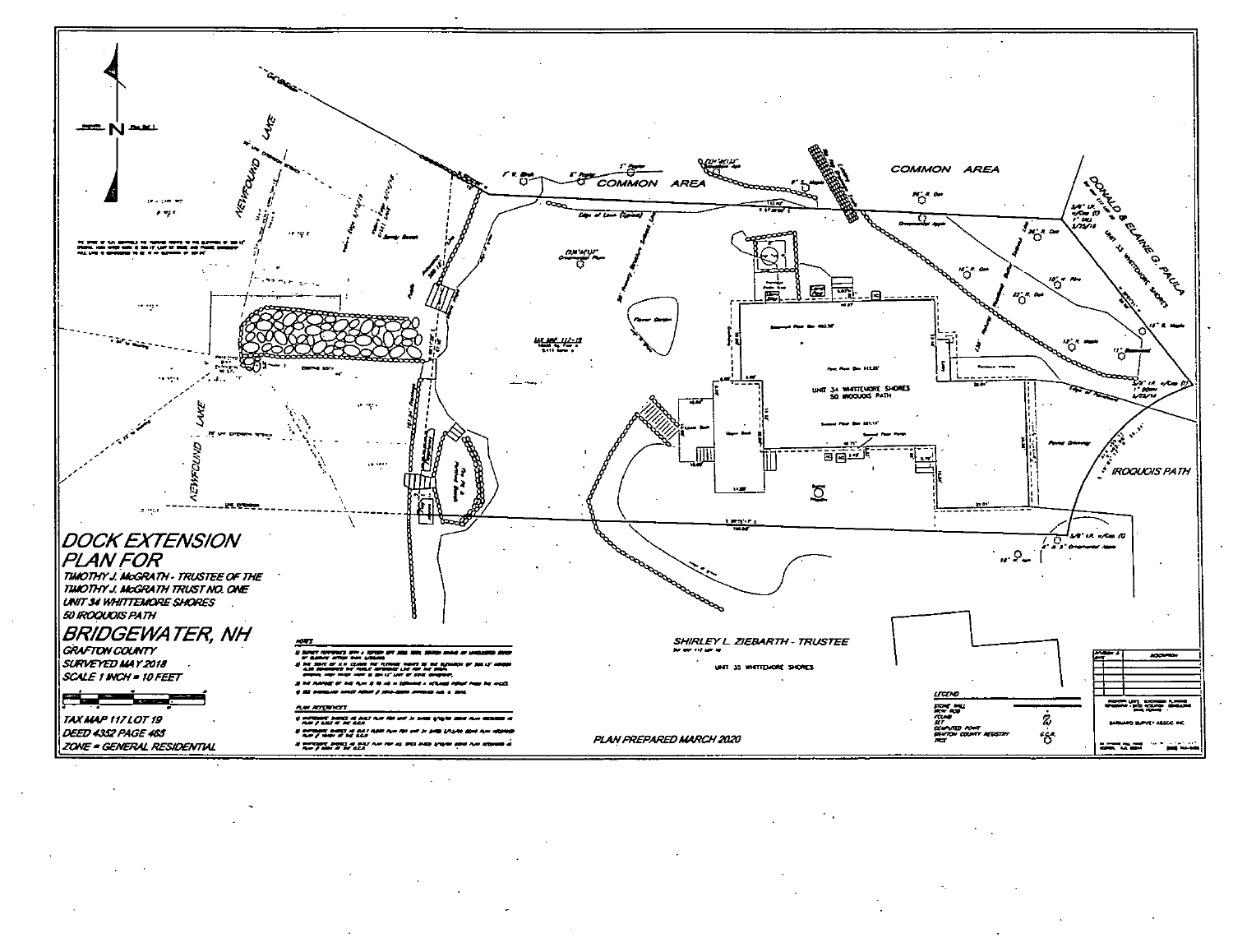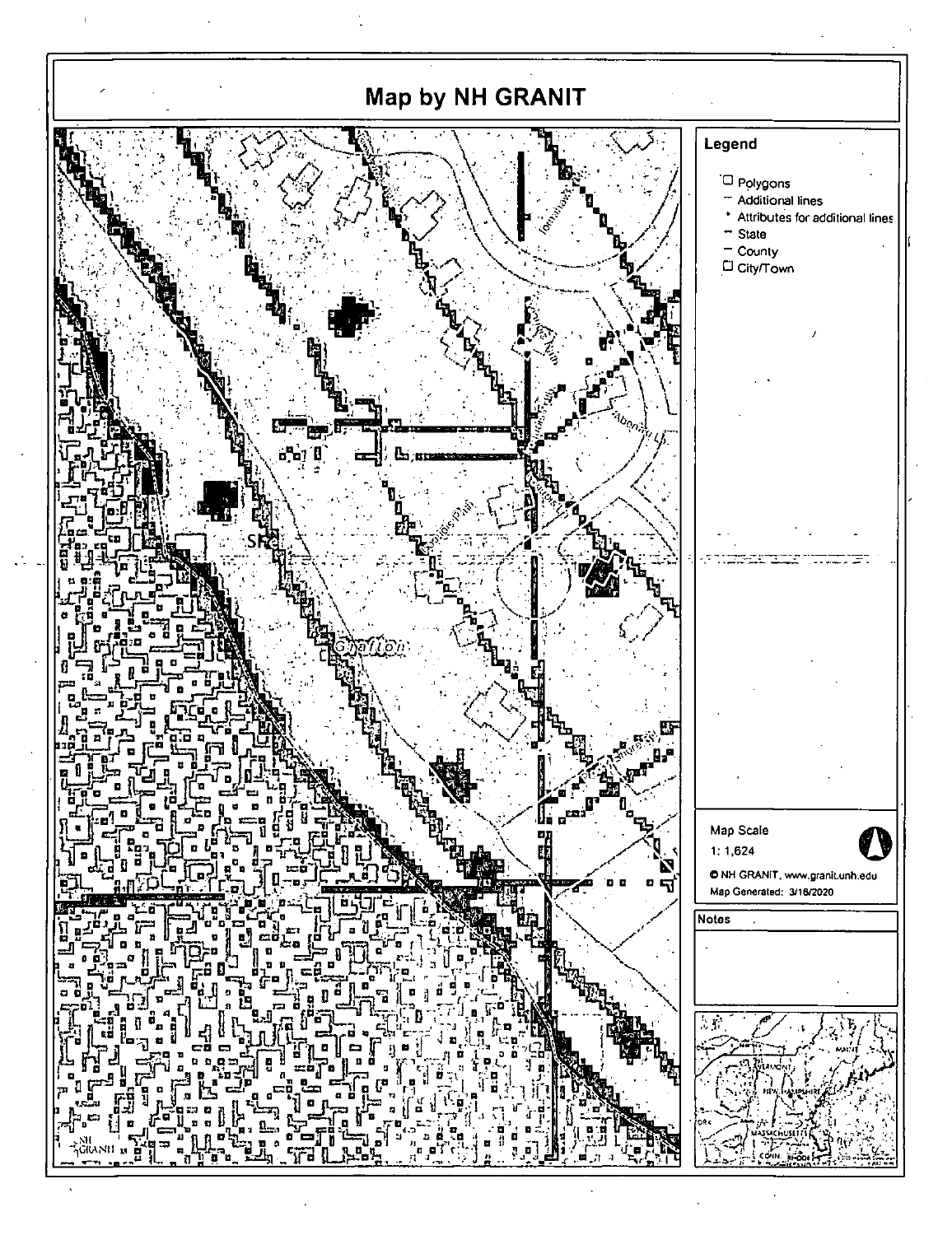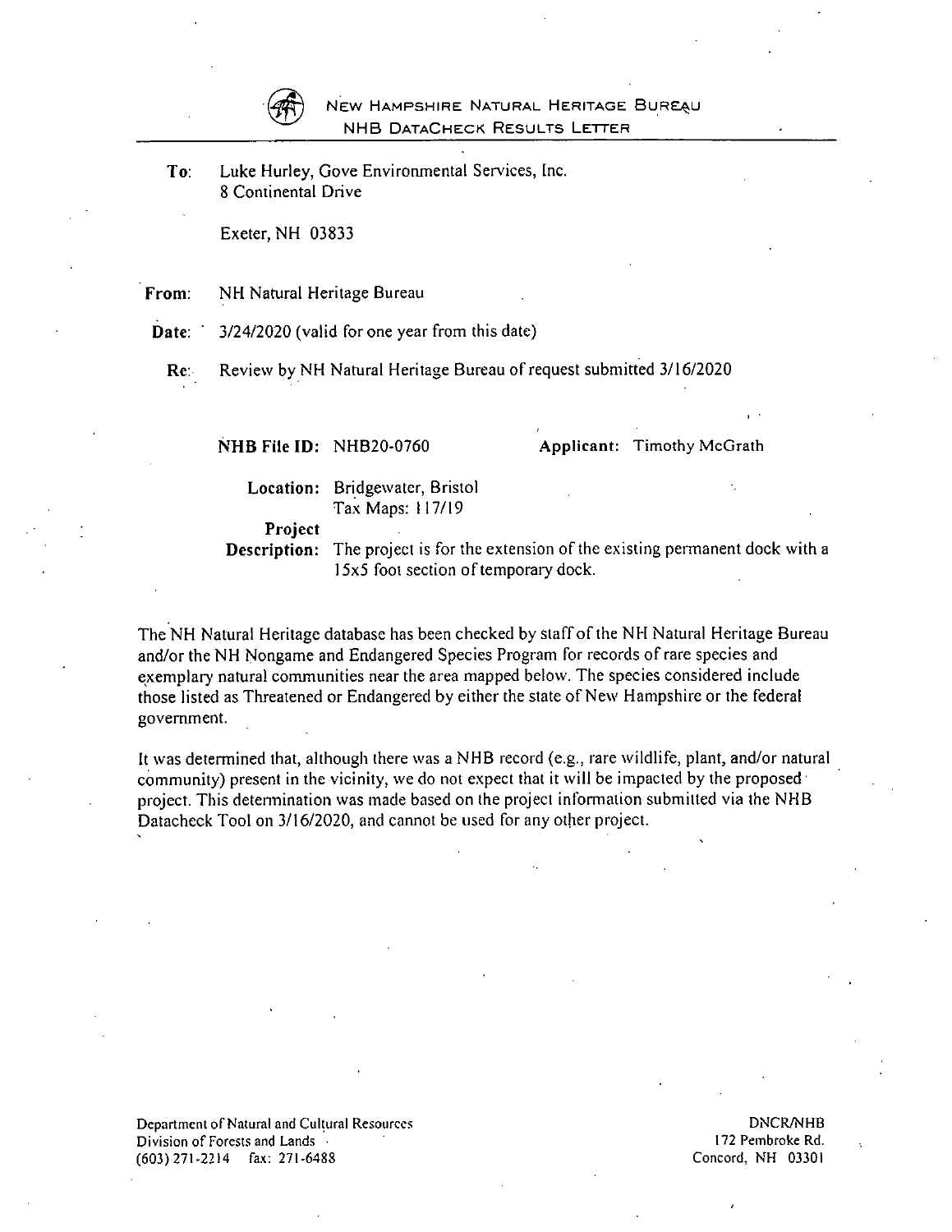

#### NEW HAMPSHIRE NATURAL HERITAGE BUREAU NHB DataCheck Results Letter

To: Luke Hurley, Gove Environmental Services, Inc. 8 Coniinentai Drive

Exeter, NH 03833

From: NH Natural Heritage Bureau

Date:  $\frac{1}{2}$  3/24/2020 (valid for one year from this date)

Re: Review by NH Natural Heritage Bureau of request submitted 3/16/2020

| NHB File ID: NHB20-0760        |                                                    | Applicant: Timothy McGrath                                             |
|--------------------------------|----------------------------------------------------|------------------------------------------------------------------------|
|                                | Location: Bridgewater, Bristol<br>Tax Maps: 117/19 |                                                                        |
| <b>Project</b><br>Description: | 15x5 foot section of temporary dock.               | The project is for the extension of the existing permanent dock with a |

The NH Natural Heritage database has been checked by staff of the NH Natural Heritage Bureau and/or the NH Nongame and Endangered Species Program for records of rare species and exemplary natural communities near the area mapped below. The species considered include those listed as Threatened or Endangered by either the state of New Hampshire or the federal government.

It was determined that, although there was a NHB record (e.g., rare wildlife, plant, and/or natural community) present in the vicinity, we do not expect that it will be impacted by the proposed • project. This determination was made based on the project information submitted via the NHB Datacheck Tool on 3/16/2020, and cannot be used for any other project.

Department of Natural and Cultural Resources<br>Division of Forests and Lands (Division of Forests and Lands) and DNCR/NHB Division of Forests and Lands 17 (603) 271-2214 fa.x: 271-6488 Concord, KH 03301

I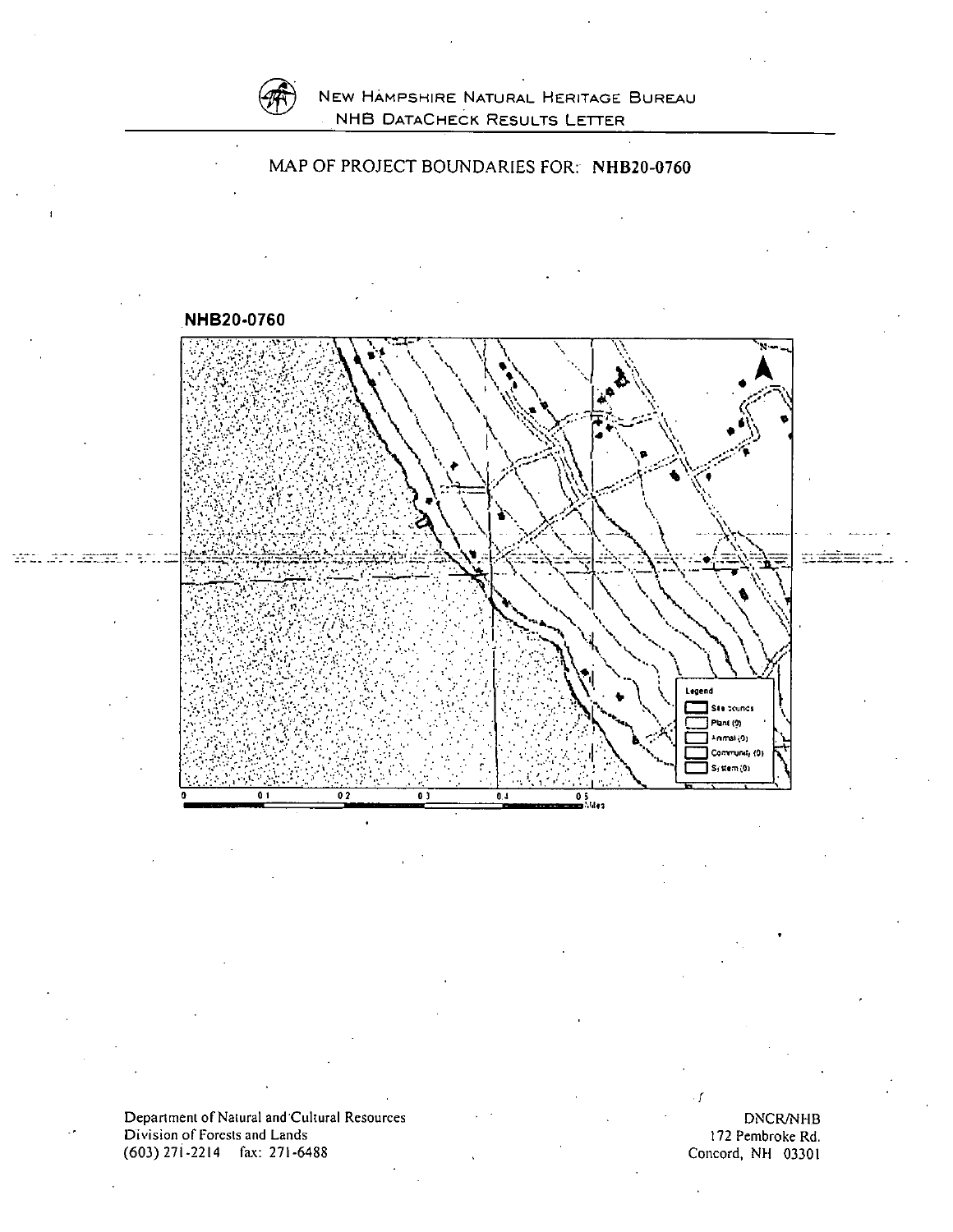

loni<br>Lind

### New Hampshire Natural Heritage Bureau NHB DataCheck Results Letter





Department of Natural and 'Cuitural Resources Division of Forests and Lands (603) 271-2214 fax: 271-6488

DNCR/NHB 172 Pembroke Rd. Concord, NH 03301

/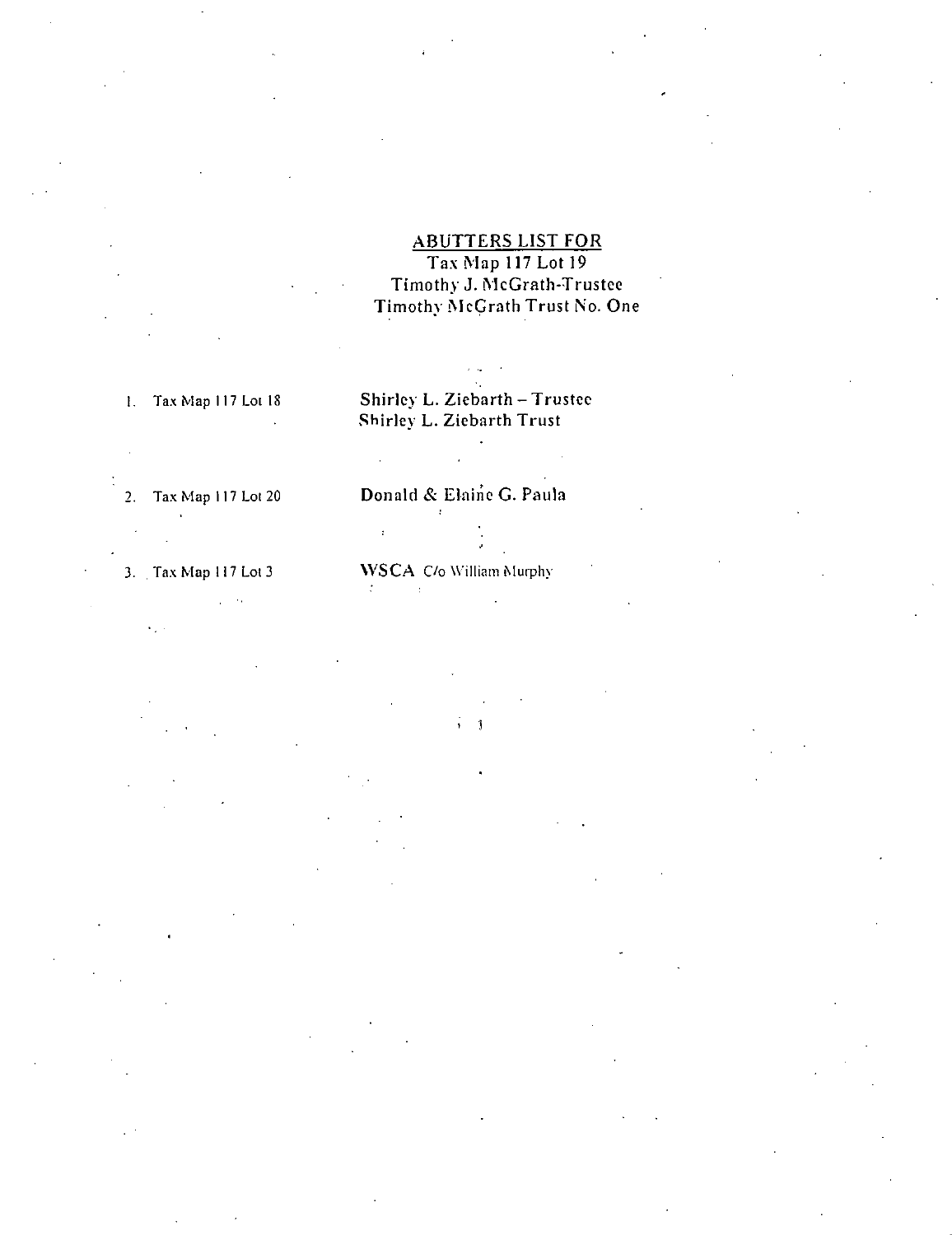$\omega_{\rm c}$  ,  $\omega_{\rm c}$  $\mathbf{v}_\mathrm{in}$  .

ABUTTERS LIST FOR Tax Map 117 Lot 19 Timothy J. McGrath-Trustee Timothy McGrath Trust No. One

# I. Tax Map 1 17 Lot 18 Shirley L. Ziebarth - Trustee Shirley L. Ziebarth Trust

 $\hat{\mathcal{A}}$ 

# 2. Tax Map 117 Lot 20 **Donald & Elaine G. Paula**

3. , Tax Map 117 Lot 3 WSCA C/o William Murphy

3